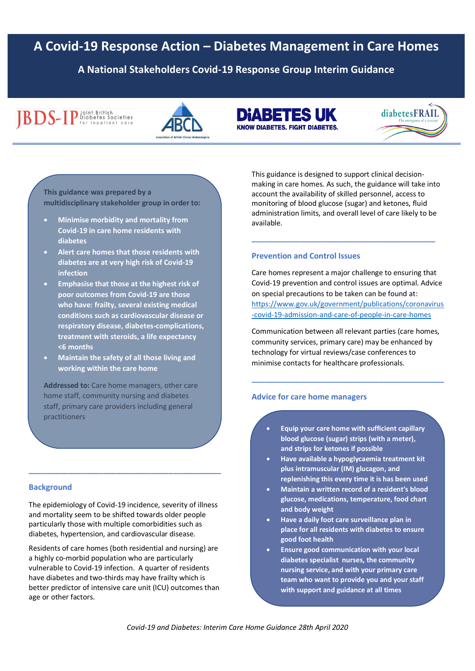# **A Covid-19 Response Action – Diabetes Management in Care Homes**

**A National Stakeholders Covid-19 Response Group Interim Guidance**

# **IBDS-IP** Diabetes Societies



**DIABETES UK KNOW DIABETES, FIGHT DIABETES.** 



**This guidance was prepared by a multidisciplinary stakeholder group in order to:** 

- **Minimise morbidity and mortality from Covid-19 in care home residents with diabetes**
- **Alert care homes that those residents with diabetes are at very high risk of Covid-19 infection**
- **Emphasise that those at the highest risk of poor outcomes from Covid-19 are those who have: frailty, several existing medical conditions such as cardiovascular disease or respiratory disease, diabetes-complications, treatment with steroids, a life expectancy <6 months**
- **Maintain the safety of all those living and working within the care home**

**Addressed to:** Care home managers, other care home staff, community nursing and diabetes staff, primary care providers including general practitioners

#### **Background**

The epidemiology of Covid-19 incidence, severity of illness and mortality seem to be shifted towards older people particularly those with multiple comorbidities such as diabetes, hypertension, and cardiovascular disease.

**\_\_\_\_\_\_\_\_\_\_\_\_\_\_\_\_\_\_\_\_\_\_\_\_\_\_\_\_\_\_\_\_\_\_\_\_\_\_\_\_\_\_\_\_**

Residents of care homes (both residential and nursing) are a highly co-morbid population who are particularly vulnerable to Covid-19 infection. A quarter of residents have diabetes and two-thirds may have frailty which is better predictor of intensive care unit (ICU) outcomes than age or other factors.

This guidance is designed to support clinical decisionmaking in care homes. As such, the guidance will take into account the availability of skilled personnel, access to monitoring of blood glucose (sugar) and ketones, fluid administration limits, and overall level of care likely to be available.

**\_\_\_\_\_\_\_\_\_\_\_\_\_\_\_\_\_\_\_\_\_\_\_\_\_\_\_\_\_\_\_\_\_\_\_\_\_\_\_\_\_\_**

#### **Prevention and Control Issues**

Care homes represent a major challenge to ensuring that Covid-19 prevention and control issues are optimal. Advice on special precautions to be taken can be found at: [https://www.gov.uk/government/publications/coronavirus](https://www.gov.uk/government/publications/coronavirus-covid-19-admission-and-care-of-people-in-care-homes) [-covid-19-admission-and-care-of-people-in-care-homes](https://www.gov.uk/government/publications/coronavirus-covid-19-admission-and-care-of-people-in-care-homes)

Communication between all relevant parties (care homes, community services, primary care) may be enhanced by technology for virtual reviews/case conferences to minimise contacts for healthcare professionals.

**\_\_\_\_\_\_\_\_\_\_\_\_\_\_\_\_\_\_\_\_\_\_\_\_\_\_\_\_\_\_\_\_\_\_\_\_\_\_\_\_\_\_\_\_**

### **Advice for care home managers**

- **Equip your care home with sufficient capillary blood glucose (sugar) strips (with a meter), and strips for ketones if possible**
- **Have available a hypoglycaemia treatment kit plus intramuscular (IM) glucagon, and replenishing this every time it is has been used**
- **Maintain a written record of a resident's blood glucose, medications, temperature, food chart and body weight**
- **Have a daily foot care surveillance plan in place for all residents with diabetes to ensure good foot health**
- **Ensure good communication with your local diabetes specialist nurses, the community nursing service, and with your primary care team who want to provide you and your staff with support and guidance at all times**

*Covid-19 and Diabetes: Interim Care Home Guidance 28th April 2020*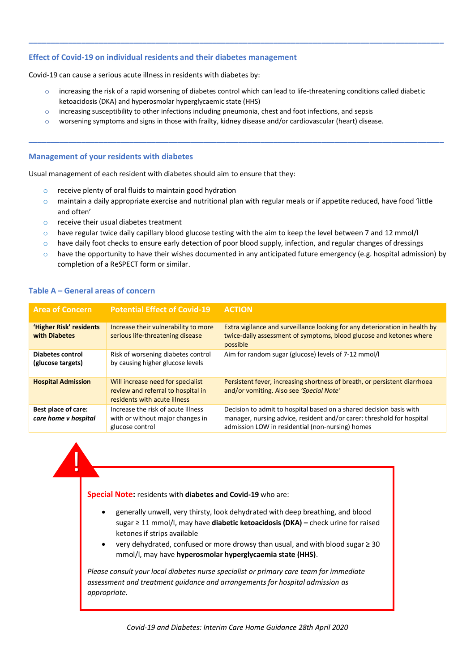#### **Effect of Covid-19 on individual residents and their diabetes management**

Covid-19 can cause a serious acute illness in residents with diabetes by:

 $\circ$  increasing the risk of a rapid worsening of diabetes control which can lead to life-threatening conditions called diabetic ketoacidosis (DKA) and hyperosmolar hyperglycaemic state (HHS)

**\_\_\_\_\_\_\_\_\_\_\_\_\_\_\_\_\_\_\_\_\_\_\_\_\_\_\_\_\_\_\_\_\_\_\_\_\_\_\_\_\_\_\_\_\_\_\_\_\_\_\_\_\_\_\_\_\_\_\_\_\_\_\_\_\_\_\_\_\_\_\_\_\_\_\_\_\_\_\_\_\_\_\_\_\_\_\_\_\_\_\_\_\_\_\_**

**\_\_\_\_\_\_\_\_\_\_\_\_\_\_\_\_\_\_\_\_\_\_\_\_\_\_\_\_\_\_\_\_\_\_\_\_\_\_\_\_\_\_\_\_\_\_\_\_\_\_\_\_\_\_\_\_\_\_\_\_\_\_\_\_\_\_\_\_\_\_\_\_\_\_\_\_\_\_\_\_\_\_\_\_\_\_\_\_\_\_\_\_\_\_\_**

- $\circ$  increasing susceptibility to other infections including pneumonia, chest and foot infections, and sepsis
- o worsening symptoms and signs in those with frailty, kidney disease and/or cardiovascular (heart) disease.

#### **Management of your residents with diabetes**

Usual management of each resident with diabetes should aim to ensure that they:

- $\circ$  receive plenty of oral fluids to maintain good hydration
- $\circ$  maintain a daily appropriate exercise and nutritional plan with regular meals or if appetite reduced, have food 'little and often'
- o receive their usual diabetes treatment
- $\circ$  have regular twice daily capillary blood glucose testing with the aim to keep the level between 7 and 12 mmol/l
- $\circ$  have daily foot checks to ensure early detection of poor blood supply, infection, and regular changes of dressings
- $\circ$  have the opportunity to have their wishes documented in any anticipated future emergency (e.g. hospital admission) by completion of a ReSPECT form or similar.

#### **Table A – General areas of concern**

| <b>Area of Concern</b>                             | <b>Potential Effect of Covid-19</b>                                                                     | <b>ACTION</b>                                                                                                                                                                                     |
|----------------------------------------------------|---------------------------------------------------------------------------------------------------------|---------------------------------------------------------------------------------------------------------------------------------------------------------------------------------------------------|
| 'Higher Risk' residents<br>with Diabetes           | Increase their vulnerability to more<br>serious life-threatening disease                                | Extra vigilance and surveillance looking for any deterioration in health by<br>twice-daily assessment of symptoms, blood glucose and ketones where<br>possible                                    |
| Diabetes control<br>(glucose targets)              | Risk of worsening diabetes control<br>by causing higher glucose levels                                  | Aim for random sugar (glucose) levels of 7-12 mmol/l                                                                                                                                              |
| <b>Hospital Admission</b>                          | Will increase need for specialist<br>review and referral to hospital in<br>residents with acute illness | Persistent fever, increasing shortness of breath, or persistent diarrhoea<br>and/or vomiting. Also see 'Special Note'                                                                             |
| Best place of care:<br>care home <i>v</i> hospital | Increase the risk of acute illness<br>with or without major changes in<br>glucose control               | Decision to admit to hospital based on a shared decision basis with<br>manager, nursing advice, resident and/or carer: threshold for hospital<br>admission LOW in residential (non-nursing) homes |



**Special Note:** residents with **diabetes and Covid-19** who are:

- generally unwell, very thirsty, look dehydrated with deep breathing, and blood sugar ≥ 11 mmol/l, may have **diabetic ketoacidosis (DKA) –** check urine for raised ketones if strips available
- very dehydrated, confused or more drowsy than usual, and with blood sugar ≥ 30 mmol/l, may have **hyperosmolar hyperglycaemia state (HHS)**.

*Please consult your local diabetes nurse specialist or primary care team for immediate assessment and treatment guidance and arrangements for hospital admission as appropriate.*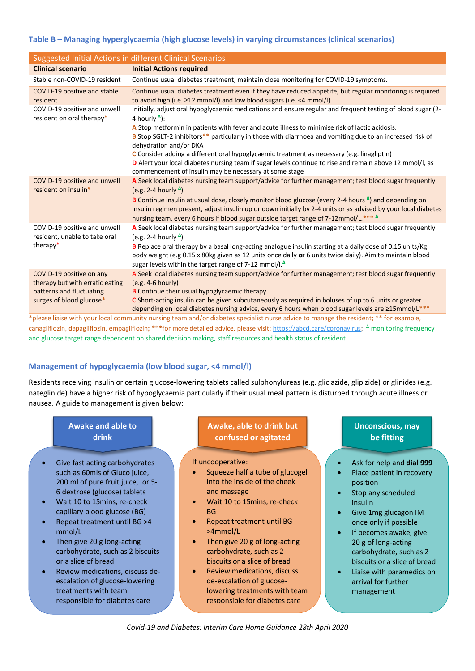## **Table B – Managing hyperglycaemia (high glucose levels) in varying circumstances (clinical scenarios)**

| <b>Suggested Initial Actions in different Clinical Scenarios</b>                                                    |                                                                                                                                                                                                                                                                                                                                                                                                                                                                            |  |  |
|---------------------------------------------------------------------------------------------------------------------|----------------------------------------------------------------------------------------------------------------------------------------------------------------------------------------------------------------------------------------------------------------------------------------------------------------------------------------------------------------------------------------------------------------------------------------------------------------------------|--|--|
| <b>Clinical scenario</b>                                                                                            | <b>Initial Actions required</b>                                                                                                                                                                                                                                                                                                                                                                                                                                            |  |  |
| Stable non-COVID-19 resident                                                                                        | Continue usual diabetes treatment; maintain close monitoring for COVID-19 symptoms.                                                                                                                                                                                                                                                                                                                                                                                        |  |  |
| COVID-19 positive and stable<br>resident                                                                            | Continue usual diabetes treatment even if they have reduced appetite, but regular monitoring is required<br>to avoid high (i.e. ≥12 mmol/l) and low blood sugars (i.e. <4 mmol/l).                                                                                                                                                                                                                                                                                         |  |  |
| COVID-19 positive and unwell<br>resident on oral therapy*                                                           | Initially, adjust oral hypoglycaemic medications and ensure regular and frequent testing of blood sugar (2-<br>4 hourly $\Delta$ ):                                                                                                                                                                                                                                                                                                                                        |  |  |
|                                                                                                                     | A Stop metformin in patients with fever and acute illness to minimise risk of lactic acidosis.<br>B Stop SGLT-2 inhibitors** particularly in those with diarrhoea and vomiting due to an increased risk of<br>dehydration and/or DKA                                                                                                                                                                                                                                       |  |  |
|                                                                                                                     | C Consider adding a different oral hypoglycaemic treatment as necessary (e.g. linagliptin)<br>D Alert your local diabetes nursing team if sugar levels continue to rise and remain above 12 mmol/l, as<br>commencement of insulin may be necessary at some stage                                                                                                                                                                                                           |  |  |
| COVID-19 positive and unwell<br>resident on insulin*                                                                | A Seek local diabetes nursing team support/advice for further management; test blood sugar frequently<br>(e.g. 2-4 hourly $^{\Delta}$ )<br><b>B</b> Continue insulin at usual dose, closely monitor blood glucose (every 2-4 hours $^{\Delta}$ ) and depending on<br>insulin regimen present, adjust insulin up or down initially by 2-4 units or as advised by your local diabetes<br>nursing team, every 6 hours if blood sugar outside target range of 7-12mmol/L.*** A |  |  |
| COVID-19 positive and unwell<br>resident, unable to take oral<br>therapy*                                           | A Seek local diabetes nursing team support/advice for further management; test blood sugar frequently<br>(e.g. 2-4 hourly $^{\Delta}$ )<br>B Replace oral therapy by a basal long-acting analogue insulin starting at a daily dose of 0.15 units/Kg<br>body weight (e.g 0.15 x 80kg given as 12 units once daily or 6 units twice daily). Aim to maintain blood<br>sugar levels within the target range of 7-12 mmol/l. <sup>4</sup>                                       |  |  |
| COVID-19 positive on any<br>therapy but with erratic eating<br>patterns and fluctuating<br>surges of blood glucose* | A Seek local diabetes nursing team support/advice for further management; test blood sugar frequently<br>$(e.g. 4-6 hourly)$<br>B Continue their usual hypoglycaemic therapy.<br>C Short-acting insulin can be given subcutaneously as required in boluses of up to 6 units or greater<br>depending on local diabetes nursing advice, every 6 hours when blood sugar levels are ≥15mmol/L***                                                                               |  |  |

\*please liaise with your local community nursing team and/or diabetes specialist nurse advice to manage the resident; \*\* for example, canagliflozin, dapagliflozin, empagliflozin; \*\*\*for more detailed advice, please visit: [https://abcd.care/coronavirus;](https://abcd.care/coronavirus) <sup>∆</sup> monitoring frequency and glucose target range dependent on shared decision making, staff resources and health status of resident

# **Management of hypoglycaemia (low blood sugar, <4 mmol/l)**

Residents receiving insulin or certain glucose-lowering tablets called sulphonylureas (e.g. gliclazide, glipizide) or glinides (e.g. nateglinide) have a higher risk of hypoglycaemia particularly if their usual meal pattern is disturbed through acute illness or nausea. A guide to management is given below:

| <b>Awake and able to</b>                                                                                                                                                                                                                                                                                                                                                                                                                                                                                                  | Awake, able to drink but                                                                                                                                                                                                                                                                                                                                                                                                                                      | <b>Unconscious, may</b>                                                                                                                                                                                                                                                                                                                                                                |
|---------------------------------------------------------------------------------------------------------------------------------------------------------------------------------------------------------------------------------------------------------------------------------------------------------------------------------------------------------------------------------------------------------------------------------------------------------------------------------------------------------------------------|---------------------------------------------------------------------------------------------------------------------------------------------------------------------------------------------------------------------------------------------------------------------------------------------------------------------------------------------------------------------------------------------------------------------------------------------------------------|----------------------------------------------------------------------------------------------------------------------------------------------------------------------------------------------------------------------------------------------------------------------------------------------------------------------------------------------------------------------------------------|
| drink                                                                                                                                                                                                                                                                                                                                                                                                                                                                                                                     | confused or agitated                                                                                                                                                                                                                                                                                                                                                                                                                                          | be fitting                                                                                                                                                                                                                                                                                                                                                                             |
| Give fast acting carbohydrates<br>such as 60mls of Gluco juice,<br>200 ml of pure fruit juice, or 5-<br>6 dextrose (glucose) tablets<br>Wait 10 to 15 mins, re-check<br>$\bullet$<br>capillary blood glucose (BG)<br>Repeat treatment until BG >4<br>$\bullet$<br>mmol/L<br>Then give 20 g long-acting<br>$\bullet$<br>carbohydrate, such as 2 biscuits<br>or a slice of bread<br>Review medications, discuss de-<br>$\bullet$<br>escalation of glucose-lowering<br>treatments with team<br>responsible for diabetes care | If uncooperative:<br>Squeeze half a tube of glucogel<br>into the inside of the cheek<br>and massage<br>Wait 10 to 15 mins, re-check<br>$\bullet$<br><b>BG</b><br>Repeat treatment until BG<br>$\bullet$<br>$>4$ mmol/L<br>Then give 20 g of long-acting<br>carbohydrate, such as 2<br>biscuits or a slice of bread<br>Review medications, discuss<br>$\bullet$<br>de-escalation of glucose-<br>lowering treatments with team<br>responsible for diabetes care | Ask for help and dial 999<br>$\bullet$<br>Place patient in recovery<br>position<br>Stop any scheduled<br>$\bullet$<br>insulin<br>Give 1mg glucagon IM<br>$\bullet$<br>once only if possible<br>If becomes awake, give<br>$\bullet$<br>20 g of long-acting<br>carbohydrate, such as 2<br>biscuits or a slice of bread<br>Liaise with paramedics on<br>arrival for further<br>management |

*Covid-19 and Diabetes: Interim Care Home Guidance 28th April 2020*